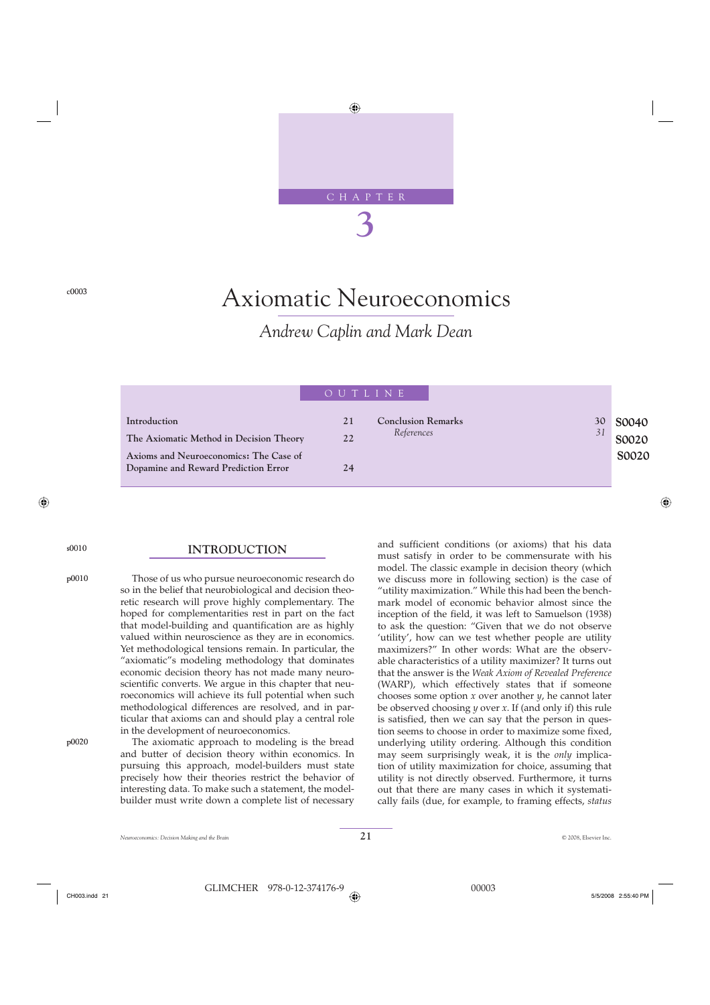

# Axiomatic Neuroeconomics

 *Andrew Caplin and Mark Dean* 

|                                                                                |    | OUTLINE                   |    |              |
|--------------------------------------------------------------------------------|----|---------------------------|----|--------------|
| Introduction                                                                   | 21 | <b>Conclusion Remarks</b> | 30 | <b>S0040</b> |
| The Axiomatic Method in Decision Theory                                        | 22 | References                | 31 | S0020        |
| Axioms and Neuroeconomics: The Case of<br>Dopamine and Reward Prediction Error | 24 |                           |    | S0020        |

s0010

p0010

## **INTRODUCTION**

 Those of us who pursue neuroeconomic research do so in the belief that neurobiological and decision theoretic research will prove highly complementary. The hoped for complementarities rest in part on the fact that model-building and quantification are as highly valued within neuroscience as they are in economics. Yet methodological tensions remain. In particular, the "axiomatic"s modeling methodology that dominates economic decision theory has not made many neuroscientific converts. We argue in this chapter that neuroeconomics will achieve its full potential when such methodological differences are resolved, and in particular that axioms can and should play a central role in the development of neuroeconomics.

 The axiomatic approach to modeling is the bread and butter of decision theory within economics. In pursuing this approach, model-builders must state precisely how their theories restrict the behavior of interesting data. To make such a statement, the modelbuilder must write down a complete list of necessary

p0020

and sufficient conditions (or axioms) that his data must satisfy in order to be commensurate with his model. The classic example in decision theory (which we discuss more in following section) is the case of "utility maximization." While this had been the benchmark model of economic behavior almost since the inception of the field, it was left to Samuelson (1938) to ask the question: "Given that we do not observe 'utility', how can we test whether people are utility maximizers?" In other words: What are the observable characteristics of a utility maximizer? It turns out that the answer is the *Weak Axiom of Revealed Preference* (WARP), which effectively states that if someone chooses some option *x* over another *y*, he cannot later be observed choosing *y* over *x* . If (and only if) this rule is satisfied, then we can say that the person in question seems to choose in order to maximize some fixed, underlying utility ordering. Although this condition may seem surprisingly weak, it is the *only* implication of utility maximization for choice, assuming that utility is not directly observed. Furthermore, it turns out that there are many cases in which it systematically fails (due, for example, to framing effects, *status* 

*Neuroeconomics: Decision Making and the Brain* **21** © 2008, Elsevier Inc.

GLIMCHER 978-0-12-374176-9 ( $\bigoplus$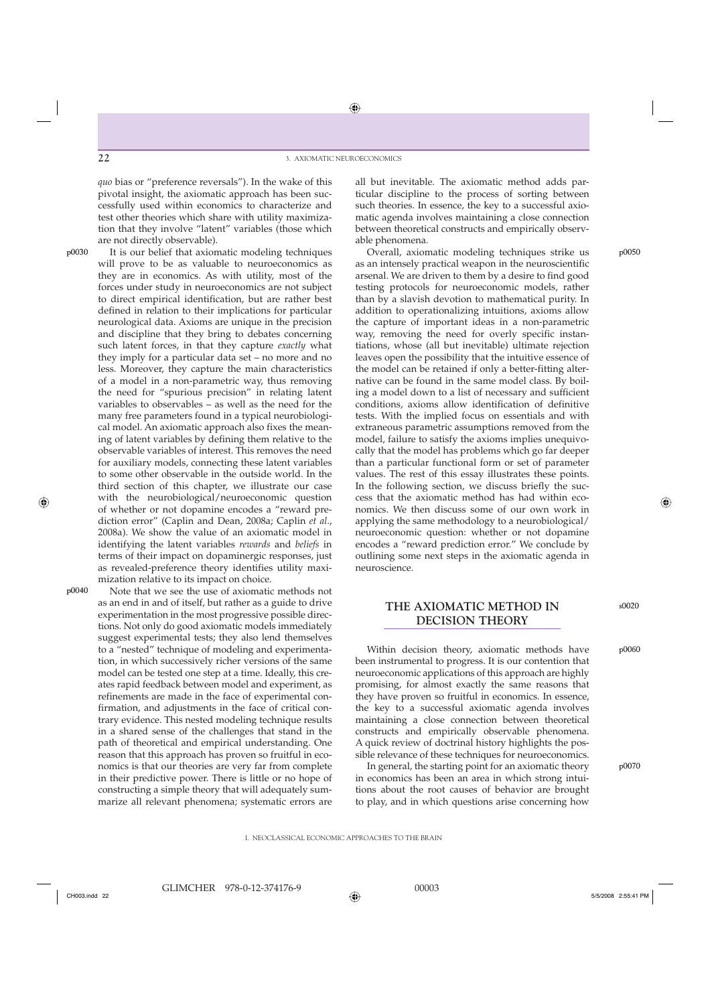## **22** 3. AXIOMATIC NEUROECONOMICS

*quo* bias or "preference reversals"). In the wake of this pivotal insight, the axiomatic approach has been successfully used within economics to characterize and test other theories which share with utility maximization that they involve "latent" variables (those which are not directly observable).

p0030

 It is our belief that axiomatic modeling techniques will prove to be as valuable to neuroeconomics as they are in economics. As with utility, most of the forces under study in neuroeconomics are not subject to direct empirical identification, but are rather best defined in relation to their implications for particular neurological data. Axioms are unique in the precision and discipline that they bring to debates concerning such latent forces, in that they capture *exactly* what they imply for a particular data set – no more and no less. Moreover, they capture the main characteristics of a model in a non-parametric way, thus removing the need for "spurious precision" in relating latent variables to observables – as well as the need for the many free parameters found in a typical neurobiological model. An axiomatic approach also fixes the meaning of latent variables by defining them relative to the observable variables of interest. This removes the need for auxiliary models, connecting these latent variables to some other observable in the outside world. In the third section of this chapter, we illustrate our case with the neurobiological/neuroeconomic question of whether or not dopamine encodes a "reward prediction error" (Caplin and Dean, 2008a; Caplin et al., 2008a). We show the value of an axiomatic model in identifying the latent variables *rewards* and *beliefs* in terms of their impact on dopaminergic responses, just as revealed-preference theory identifies utility maximization relative to its impact on choice.

 Note that we see the use of axiomatic methods not as an end in and of itself, but rather as a guide to drive experimentation in the most progressive possible directions. Not only do good axiomatic models immediately suggest experimental tests; they also lend themselves to a "nested" technique of modeling and experimentation, in which successively richer versions of the same model can be tested one step at a time. Ideally, this creates rapid feedback between model and experiment, as refinements are made in the face of experimental confirmation, and adjustments in the face of critical contrary evidence. This nested modeling technique results in a shared sense of the challenges that stand in the path of theoretical and empirical understanding. One reason that this approach has proven so fruitful in economics is that our theories are very far from complete in their predictive power. There is little or no hope of constructing a simple theory that will adequately summarize all relevant phenomena; systematic errors are p0040

all but inevitable. The axiomatic method adds particular discipline to the process of sorting between such theories. In essence, the key to a successful axiomatic agenda involves maintaining a close connection between theoretical constructs and empirically observable phenomena.

 Overall, axiomatic modeling techniques strike us as an intensely practical weapon in the neuroscientific arsenal. We are driven to them by a desire to find good testing protocols for neuroeconomic models, rather than by a slavish devotion to mathematical purity. In addition to operationalizing intuitions, axioms allow the capture of important ideas in a non-parametric way, removing the need for overly specific instantiations, whose (all but inevitable) ultimate rejection leaves open the possibility that the intuitive essence of the model can be retained if only a better-fitting alternative can be found in the same model class. By boiling a model down to a list of necessary and sufficient conditions, axioms allow identification of definitive tests. With the implied focus on essentials and with extraneous parametric assumptions removed from the model, failure to satisfy the axioms implies unequivocally that the model has problems which go far deeper than a particular functional form or set of parameter values. The rest of this essay illustrates these points. In the following section, we discuss briefly the success that the axiomatic method has had within economics. We then discuss some of our own work in applying the same methodology to a neurobiological/ neuroeconomic question: whether or not dopamine encodes a "reward prediction error." We conclude by outlining some next steps in the axiomatic agenda in neuroscience.

## **THE AXIOMATIC METHOD IN DECISION THEORY**

 Within decision theory, axiomatic methods have been instrumental to progress. It is our contention that neuroeconomic applications of this approach are highly promising, for almost exactly the same reasons that they have proven so fruitful in economics. In essence, the key to a successful axiomatic agenda involves maintaining a close connection between theoretical constructs and empirically observable phenomena. A quick review of doctrinal history highlights the possible relevance of these techniques for neuroeconomics.

 In general, the starting point for an axiomatic theory in economics has been an area in which strong intuitions about the root causes of behavior are brought to play, and in which questions arise concerning how

p0060

s0020

⊕

p0070

I. NEOCLASSICAL ECONOMIC APPROACHES TO THE BRAIN

GLIMCHER 978-0-12-374176-9 00003

p0050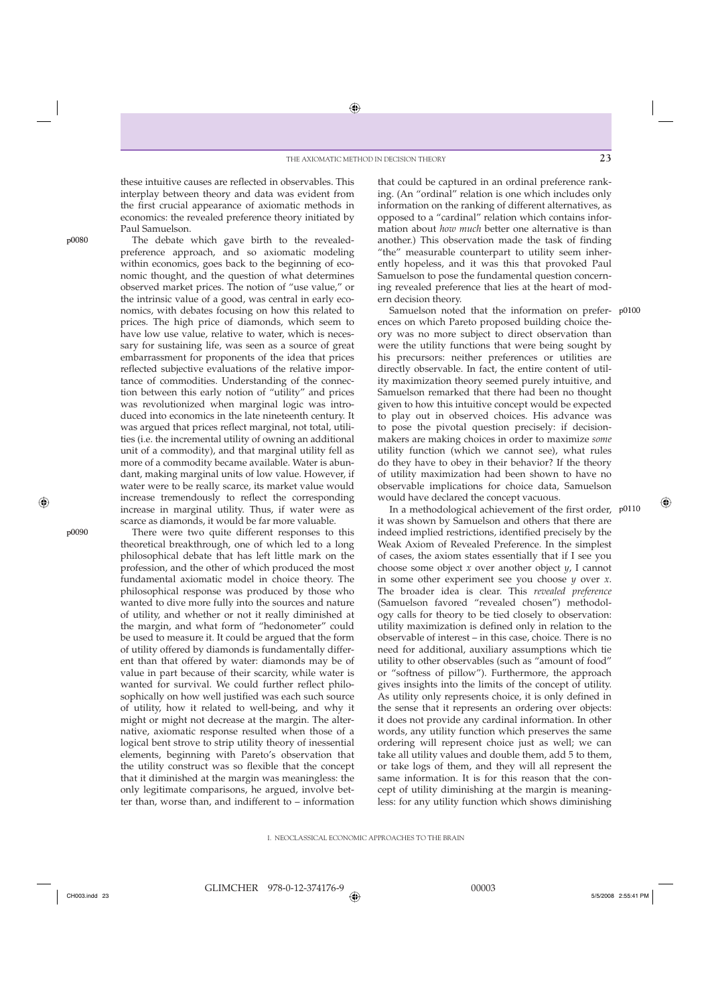⊕

these intuitive causes are reflected in observables. This interplay between theory and data was evident from the first crucial appearance of axiomatic methods in economics: the revealed preference theory initiated by Paul Samuelson.

p0080

 The debate which gave birth to the revealedpreference approach, and so axiomatic modeling within economics, goes back to the beginning of economic thought, and the question of what determines observed market prices. The notion of "use value," or the intrinsic value of a good, was central in early economics, with debates focusing on how this related to prices. The high price of diamonds, which seem to have low use value, relative to water, which is necessary for sustaining life, was seen as a source of great embarrassment for proponents of the idea that prices reflected subjective evaluations of the relative importance of commodities. Understanding of the connection between this early notion of "utility" and prices was revolutionized when marginal logic was introduced into economics in the late nineteenth century. It was argued that prices reflect marginal, not total, utilities (i.e. the incremental utility of owning an additional unit of a commodity), and that marginal utility fell as more of a commodity became available. Water is abundant, making marginal units of low value. However, if water were to be really scarce, its market value would increase tremendously to reflect the corresponding increase in marginal utility. Thus, if water were as scarce as diamonds, it would be far more valuable.

p0090

 There were two quite different responses to this theoretical breakthrough, one of which led to a long philosophical debate that has left little mark on the profession, and the other of which produced the most fundamental axiomatic model in choice theory. The philosophical response was produced by those who wanted to dive more fully into the sources and nature of utility, and whether or not it really diminished at the margin, and what form of "hedonometer" could be used to measure it. It could be argued that the form of utility offered by diamonds is fundamentally different than that offered by water: diamonds may be of value in part because of their scarcity, while water is wanted for survival. We could further reflect philosophically on how well justified was each such source of utility, how it related to well-being, and why it might or might not decrease at the margin. The alternative, axiomatic response resulted when those of a logical bent strove to strip utility theory of inessential elements, beginning with Pareto's observation that the utility construct was so flexible that the concept that it diminished at the margin was meaningless: the only legitimate comparisons, he argued, involve better than, worse than, and indifferent to – information

that could be captured in an ordinal preference ranking. (An "ordinal" relation is one which includes only information on the ranking of different alternatives, as opposed to a "cardinal" relation which contains information about *how much* better one alternative is than another.) This observation made the task of finding "the" measurable counterpart to utility seem inherently hopeless, and it was this that provoked Paul Samuelson to pose the fundamental question concerning revealed preference that lies at the heart of modern decision theory.

 Samuelson noted that the information on prefer-p0100 ences on which Pareto proposed building choice theory was no more subject to direct observation than were the utility functions that were being sought by his precursors: neither preferences or utilities are directly observable. In fact, the entire content of utility maximization theory seemed purely intuitive, and Samuelson remarked that there had been no thought given to how this intuitive concept would be expected to play out in observed choices. His advance was to pose the pivotal question precisely: if decisionmakers are making choices in order to maximize *some* utility function (which we cannot see), what rules do they have to obey in their behavior? If the theory of utility maximization had been shown to have no observable implications for choice data, Samuelson would have declared the concept vacuous.

 In a methodological achievement of the first order, p0110 it was shown by Samuelson and others that there are indeed implied restrictions, identified precisely by the Weak Axiom of Revealed Preference. In the simplest of cases, the axiom states essentially that if I see you choose some object *x* over another object *y*, I cannot in some other experiment see you choose *y* over *x* . The broader idea is clear. This *revealed preference* (Samuelson favored "revealed chosen") methodology calls for theory to be tied closely to observation: utility maximization is defined only in relation to the observable of interest – in this case, choice. There is no need for additional, auxiliary assumptions which tie utility to other observables (such as "amount of food" or "softness of pillow"). Furthermore, the approach gives insights into the limits of the concept of utility. As utility only represents choice, it is only defined in the sense that it represents an ordering over objects: it does not provide any cardinal information. In other words, any utility function which preserves the same ordering will represent choice just as well; we can take all utility values and double them, add 5 to them, or take logs of them, and they will all represent the same information. It is for this reason that the concept of utility diminishing at the margin is meaningless: for any utility function which shows diminishing

I. NEOCLASSICAL ECONOMIC APPROACHES TO THE BRAIN

⊕

GLIMCHER 978-0-12-374176-9 ( $\bigoplus$ CH003.indd 23 **Holden 23** S55/2008 2:55:41 PM  $\langle \spadesuit \rangle$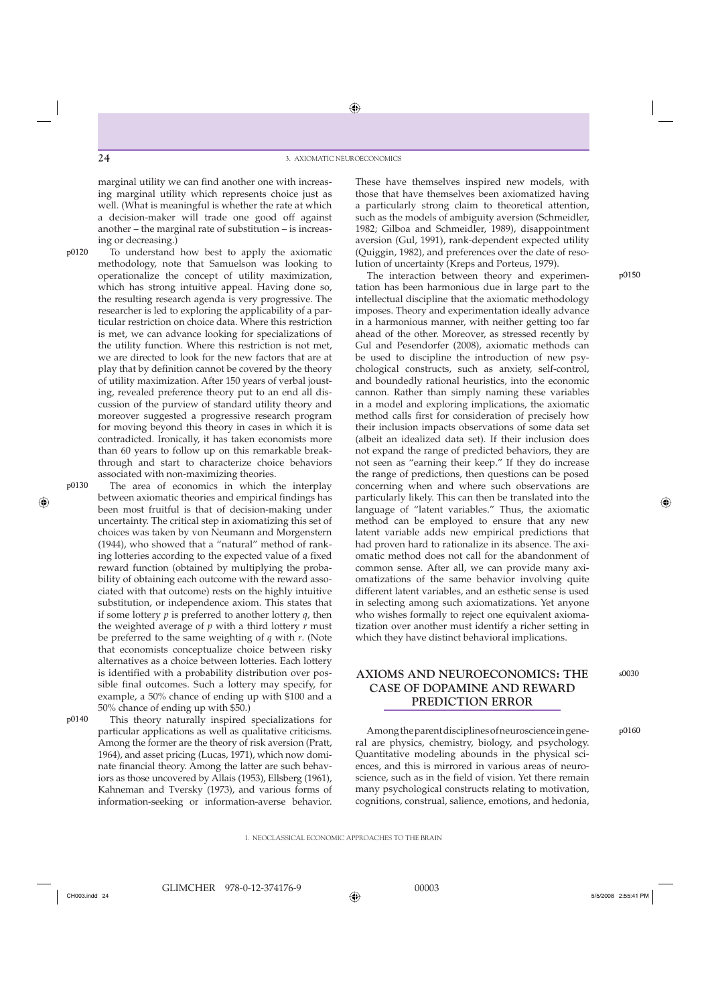#### **24** 3. AXIOMATIC NEUROECONOMICS

marginal utility we can find another one with increasing marginal utility which represents choice just as well. (What is meaningful is whether the rate at which a decision-maker will trade one good off against another – the marginal rate of substitution – is increasing or decreasing.)

 To understand how best to apply the axiomatic methodology, note that Samuelson was looking to operationalize the concept of utility maximization, which has strong intuitive appeal. Having done so, the resulting research agenda is very progressive. The researcher is led to exploring the applicability of a particular restriction on choice data. Where this restriction is met, we can advance looking for specializations of the utility function. Where this restriction is not met, we are directed to look for the new factors that are at play that by definition cannot be covered by the theory of utility maximization. After 150 years of verbal jousting, revealed preference theory put to an end all discussion of the purview of standard utility theory and moreover suggested a progressive research program for moving beyond this theory in cases in which it is contradicted. Ironically, it has taken economists more than 60 years to follow up on this remarkable breakthrough and start to characterize choice behaviors associated with non-maximizing theories. p0120 p0130

⊕

 The area of economics in which the interplay between axiomatic theories and empirical findings has been most fruitful is that of decision-making under uncertainty. The critical step in axiomatizing this set of choices was taken by von Neumann and Morgenstern (1944), who showed that a "natural" method of ranking lotteries according to the expected value of a fixed reward function (obtained by multiplying the probability of obtaining each outcome with the reward associated with that outcome) rests on the highly intuitive substitution, or independence axiom. This states that if some lottery  $p$  is preferred to another lottery  $q$ , then the weighted average of *p* with a third lottery *r* must be preferred to the same weighting of *q* with *r* . (Note that economists conceptualize choice between risky alternatives as a choice between lotteries. Each lottery is identified with a probability distribution over possible final outcomes. Such a lottery may specify, for example, a 50% chance of ending up with \$100 and a 50% chance of ending up with \$50.)

 This theory naturally inspired specializations for particular applications as well as qualitative criticisms. Among the former are the theory of risk aversion (Pratt, 1964), and asset pricing (Lucas, 1971), which now dominate financial theory. Among the latter are such behaviors as those uncovered by Allais (1953), Ellsberg (1961), Kahneman and Tversky (1973), and various forms of information-seeking or information-averse behavior. p0140

These have themselves inspired new models, with those that have themselves been axiomatized having a particularly strong claim to theoretical attention, such as the models of ambiguity aversion (Schmeidler, 1982; Gilboa and Schmeidler, 1989), disappointment aversion (Gul, 1991), rank-dependent expected utility (Quiggin, 1982), and preferences over the date of resolution of uncertainty (Kreps and Porteus, 1979).

 The interaction between theory and experimentation has been harmonious due in large part to the intellectual discipline that the axiomatic methodology imposes. Theory and experimentation ideally advance in a harmonious manner, with neither getting too far ahead of the other. Moreover, as stressed recently by Gul and Pesendorfer (2008), axiomatic methods can be used to discipline the introduction of new psychological constructs, such as anxiety, self-control, and boundedly rational heuristics, into the economic cannon. Rather than simply naming these variables in a model and exploring implications, the axiomatic method calls first for consideration of precisely how their inclusion impacts observations of some data set (albeit an idealized data set). If their inclusion does not expand the range of predicted behaviors, they are not seen as "earning their keep." If they do increase the range of predictions, then questions can be posed concerning when and where such observations are particularly likely. This can then be translated into the language of "latent variables." Thus, the axiomatic method can be employed to ensure that any new latent variable adds new empirical predictions that had proven hard to rationalize in its absence. The axiomatic method does not call for the abandonment of common sense. After all, we can provide many axiomatizations of the same behavior involving quite different latent variables, and an esthetic sense is used in selecting among such axiomatizations. Yet anyone who wishes formally to reject one equivalent axiomatization over another must identify a richer setting in which they have distinct behavioral implications.

### **AXIOMS AND NEUROECONOMICS: THE CASE OF DOPAMINE AND REWARD PREDICTION ERROR**  s0030

 Among the parent disciplines of neuroscience in general are physics, chemistry, biology, and psychology. Quantitative modeling abounds in the physical sciences, and this is mirrored in various areas of neuroscience, such as in the field of vision. Yet there remain many psychological constructs relating to motivation, cognitions, construal, salience, emotions, and hedonia,

I. NEOCLASSICAL ECONOMIC APPROACHES TO THE BRAIN

GLIMCHER 978-0-12-374176-9 00003

p0160

p0150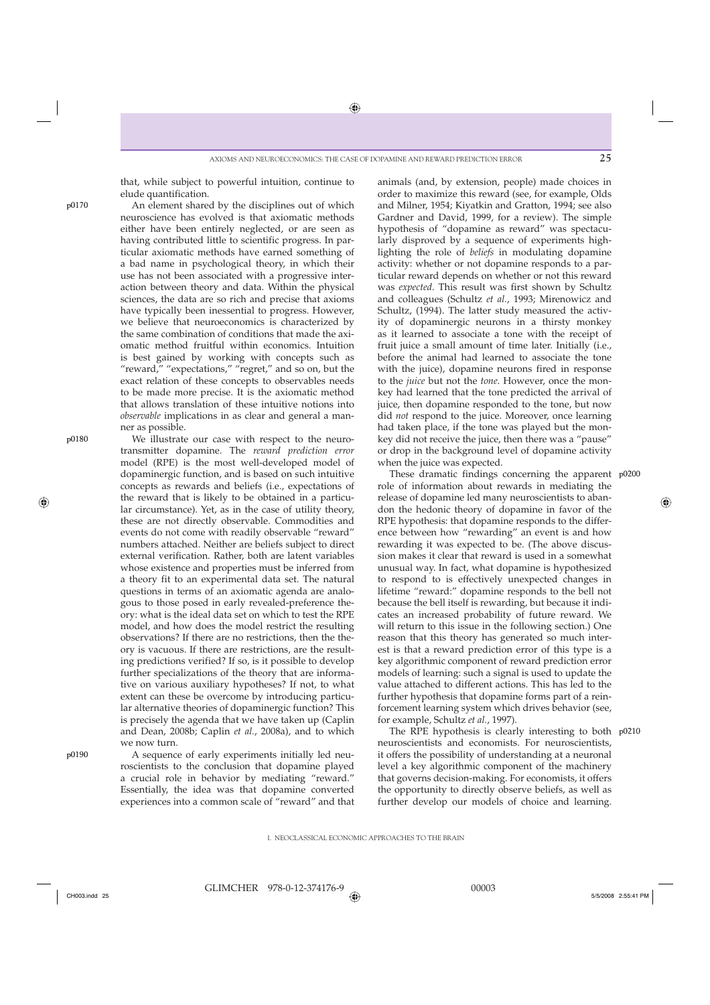#### AXIOMS AND NEUROECONOMICS: THE CASE OF DOPAMINE AND REWARD PREDICTION ERROR

⊕

that, while subject to powerful intuition, continue to elude quantification.

p0170

 An element shared by the disciplines out of which neuroscience has evolved is that axiomatic methods either have been entirely neglected, or are seen as having contributed little to scientific progress. In particular axiomatic methods have earned something of a bad name in psychological theory, in which their use has not been associated with a progressive interaction between theory and data. Within the physical sciences, the data are so rich and precise that axioms have typically been inessential to progress. However, we believe that neuroeconomics is characterized by the same combination of conditions that made the axiomatic method fruitful within economics. Intuition is best gained by working with concepts such as "reward," "expectations," "regret," and so on, but the exact relation of these concepts to observables needs to be made more precise. It is the axiomatic method that allows translation of these intuitive notions into *observable* implications in as clear and general a manner as possible.

 We illustrate our case with respect to the neurotransmitter dopamine. The *reward prediction error* model (RPE) is the most well-developed model of dopaminergic function, and is based on such intuitive concepts as rewards and beliefs (i.e., expectations of the reward that is likely to be obtained in a particular circumstance). Yet, as in the case of utility theory, these are not directly observable. Commodities and events do not come with readily observable "reward" numbers attached. Neither are beliefs subject to direct external verification. Rather, both are latent variables whose existence and properties must be inferred from a theory fit to an experimental data set. The natural questions in terms of an axiomatic agenda are analogous to those posed in early revealed-preference theory: what is the ideal data set on which to test the RPE model, and how does the model restrict the resulting observations? If there are no restrictions, then the theory is vacuous. If there are restrictions, are the resulting predictions verified? If so, is it possible to develop further specializations of the theory that are informative on various auxiliary hypotheses? If not, to what extent can these be overcome by introducing particular alternative theories of dopaminergic function? This is precisely the agenda that we have taken up (Caplin and Dean, 2008b; Caplin et al., 2008a), and to which we now turn.

 A sequence of early experiments initially led neuroscientists to the conclusion that dopamine played a crucial role in behavior by mediating "reward." Essentially, the idea was that dopamine converted experiences into a common scale of "reward" and that

p0190

animals (and, by extension, people) made choices in order to maximize this reward (see, for example, Olds and Milner, 1954; Kiyatkin and Gratton, 1994; see also Gardner and David, 1999, for a review). The simple hypothesis of "dopamine as reward" was spectacularly disproved by a sequence of experiments highlighting the role of *beliefs* in modulating dopamine activity: whether or not dopamine responds to a particular reward depends on whether or not this reward was *expected*. This result was first shown by Schultz and colleagues (Schultz et al., 1993; Mirenowicz and Schultz, (1994). The latter study measured the activity of dopaminergic neurons in a thirsty monkey as it learned to associate a tone with the receipt of fruit juice a small amount of time later. Initially (i.e., before the animal had learned to associate the tone with the juice), dopamine neurons fired in response to the *juice* but not the *tone* . However, once the monkey had learned that the tone predicted the arrival of juice, then dopamine responded to the tone, but now did *not* respond to the juice. Moreover, once learning had taken place, if the tone was played but the monkey did not receive the juice, then there was a "pause" or drop in the background level of dopamine activity when the juice was expected.

**25**

 These dramatic findings concerning the apparent p0200 role of information about rewards in mediating the release of dopamine led many neuroscientists to abandon the hedonic theory of dopamine in favor of the RPE hypothesis: that dopamine responds to the difference between how "rewarding" an event is and how rewarding it was expected to be. (The above discussion makes it clear that reward is used in a somewhat unusual way. In fact, what dopamine is hypothesized to respond to is effectively unexpected changes in lifetime "reward:" dopamine responds to the bell not because the bell itself is rewarding, but because it indicates an increased probability of future reward. We will return to this issue in the following section.) One reason that this theory has generated so much interest is that a reward prediction error of this type is a key algorithmic component of reward prediction error models of learning: such a signal is used to update the value attached to different actions. This has led to the further hypothesis that dopamine forms part of a reinforcement learning system which drives behavior (see, for example, Schultz et al., 1997).

 The RPE hypothesis is clearly interesting to both p0210 neuroscientists and economists. For neuroscientists, it offers the possibility of understanding at a neuronal level a key algorithmic component of the machinery that governs decision-making. For economists, it offers the opportunity to directly observe beliefs, as well as further develop our models of choice and learning.

I. NEOCLASSICAL ECONOMIC APPROACHES TO THE BRAIN

⊕

p0180

GLIMCHER 978-0-12-374176-9 ( $\bigoplus$ CH003.indd 25 H003.indd 5/5/2008 2:55:41 PM /5/2008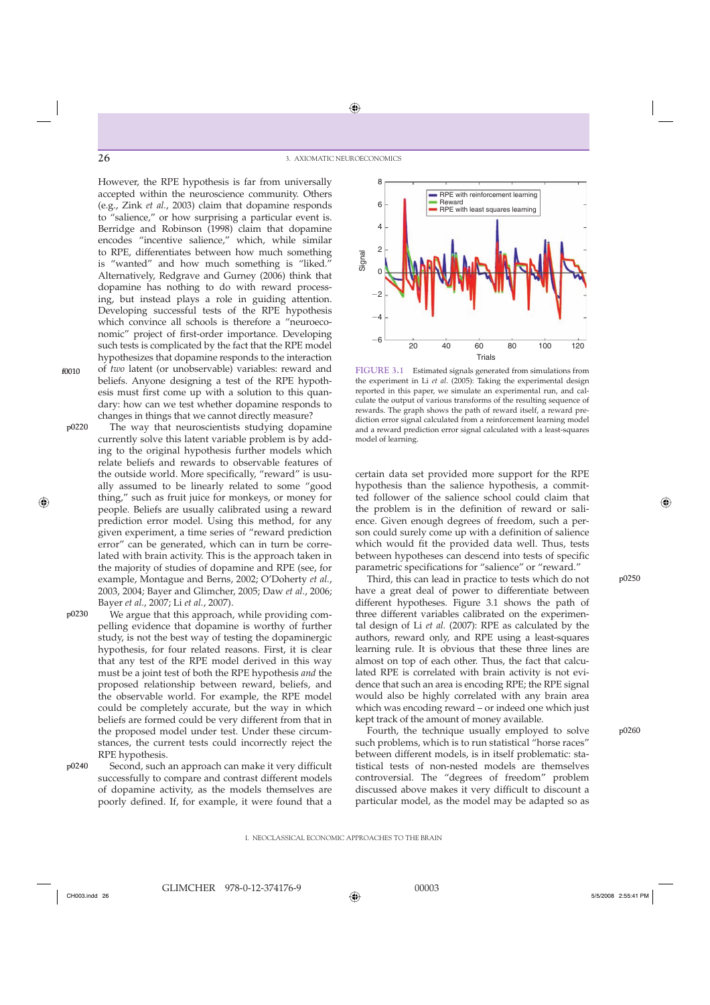⊕

## **26** 3. AXIOMATIC NEUROECONOMICS

However, the RPE hypothesis is far from universally accepted within the neuroscience community. Others (e.g., Zink et al., 2003) claim that dopamine responds to "salience," or how surprising a particular event is. Berridge and Robinson (1998) claim that dopamine encodes "incentive salience," which, while similar to RPE, differentiates between how much something is "wanted" and how much something is "liked." Alternatively, Redgrave and Gurney (2006) think that dopamine has nothing to do with reward processing, but instead plays a role in guiding attention. Developing successful tests of the RPE hypothesis which convince all schools is therefore a "neuroeconomic" project of first-order importance. Developing such tests is complicated by the fact that the RPE model hypothesizes that dopamine responds to the interaction of *two* latent (or unobservable) variables: reward and

- beliefs. Anyone designing a test of the RPE hypothesis must first come up with a solution to this quandary: how can we test whether dopamine responds to changes in things that we cannot directly measure? f0010
- The way that neuroscientists studying dopamine currently solve this latent variable problem is by adding to the original hypothesis further models which relate beliefs and rewards to observable features of the outside world. More specifically, "reward" is usually assumed to be linearly related to some "good thing," such as fruit juice for monkeys, or money for people. Beliefs are usually calibrated using a reward prediction error model. Using this method, for any given experiment, a time series of "reward prediction error" can be generated, which can in turn be correlated with brain activity. This is the approach taken in the majority of studies of dopamine and RPE (see, for example, Montague and Berns, 2002; O'Doherty et al., 2003, 2004; Bayer and Glimcher, 2005; Daw et al., 2006; Bayer *et al.*, 2007; Li *et al.*, 2007). p0220
- We argue that this approach, while providing compelling evidence that dopamine is worthy of further study, is not the best way of testing the dopaminergic hypothesis, for four related reasons. First, it is clear that any test of the RPE model derived in this way must be a joint test of both the RPE hypothesis *and* the proposed relationship between reward, beliefs, and the observable world. For example, the RPE model could be completely accurate, but the way in which beliefs are formed could be very different from that in the proposed model under test. Under these circumstances, the current tests could incorrectly reject the RPE hypothesis. p0230
- Second, such an approach can make it very difficult successfully to compare and contrast different models of dopamine activity, as the models themselves are poorly defined. If, for example, it were found that a p0240



**FIGURE 3.1** Estimated signals generated from simulations from the experiment in Li *et al*. (2005): Taking the experimental design reported in this paper, we simulate an experimental run, and calculate the output of various transforms of the resulting sequence of rewards. The graph shows the path of reward itself, a reward prediction error signal calculated from a reinforcement learning model and a reward prediction error signal calculated with a least-squares model of learning.

certain data set provided more support for the RPE hypothesis than the salience hypothesis, a committed follower of the salience school could claim that the problem is in the definition of reward or salience. Given enough degrees of freedom, such a person could surely come up with a definition of salience which would fit the provided data well. Thus, tests between hypotheses can descend into tests of specific parametric specifications for "salience" or "reward."

 Third, this can lead in practice to tests which do not have a great deal of power to differentiate between different hypotheses. Figure 3.1 shows the path of three different variables calibrated on the experimental design of Li et al. (2007): RPE as calculated by the authors, reward only, and RPE using a least-squares learning rule. It is obvious that these three lines are almost on top of each other. Thus, the fact that calculated RPE is correlated with brain activity is not evidence that such an area is encoding RPE; the RPE signal would also be highly correlated with any brain area which was encoding reward – or indeed one which just kept track of the amount of money available.

 Fourth, the technique usually employed to solve such problems, which is to run statistical "horse races" between different models, is in itself problematic: statistical tests of non-nested models are themselves controversial. The "degrees of freedom" problem discussed above makes it very difficult to discount a particular model, as the model may be adapted so as

p0250

⊕

p0260

I. NEOCLASSICAL ECONOMIC APPROACHES TO THE BRAIN

⊕

GLIMCHER 978-0-12-374176-9 00003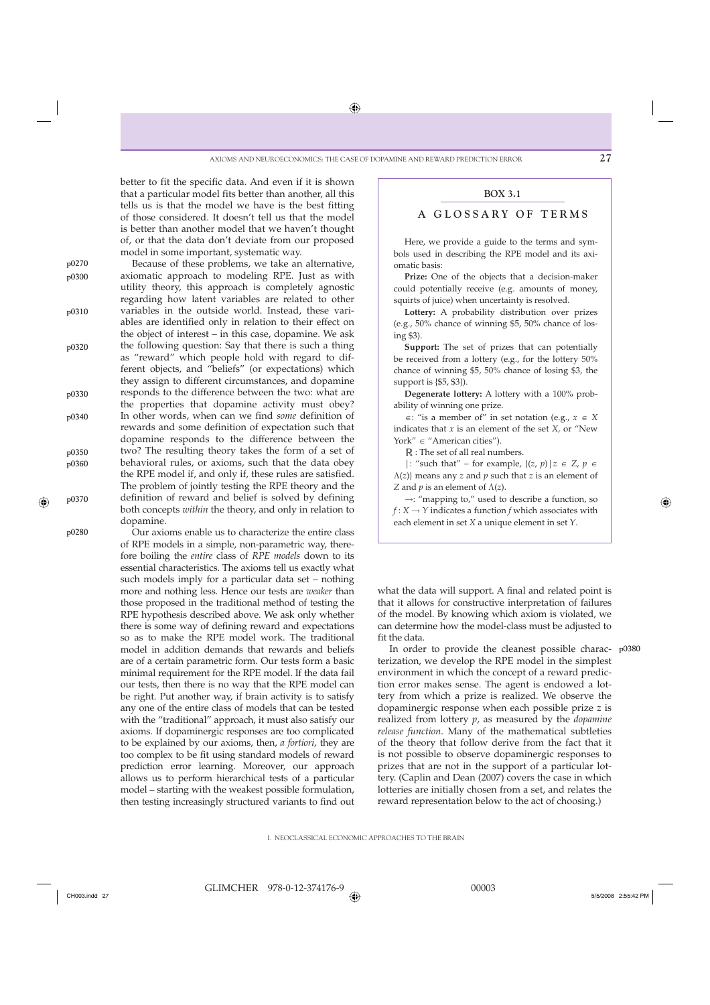#### AXIOMS AND NEUROECONOMICS: THE CASE OF DOPAMINE AND REWARD PREDICTION ERROR

better to fit the specific data. And even if it is shown that a particular model fits better than another, all this tells us is that the model we have is the best fitting of those considered. It doesn't tell us that the model is better than another model that we haven't thought of, or that the data don't deviate from our proposed model in some important, systematic way.

 Because of these problems, we take an alternative, axiomatic approach to modeling RPE. Just as with utility theory, this approach is completely agnostic regarding how latent variables are related to other variables in the outside world. Instead, these variables are identified only in relation to their effect on the object of interest – in this case, dopamine. We ask the following question: Say that there is such a thing as "reward" which people hold with regard to different objects, and "beliefs" (or expectations) which they assign to different circumstances, and dopamine responds to the difference between the two: what are the properties that dopamine activity must obey? In other words, when can we find *some* definition of rewards and some definition of expectation such that dopamine responds to the difference between the two? The resulting theory takes the form of a set of behavioral rules, or axioms, such that the data obey the RPE model if, and only if, these rules are satisfied. The problem of jointly testing the RPE theory and the definition of reward and belief is solved by defining both concepts *within* the theory, and only in relation to dopamine. p0270 p0300 p0310 p0320 p0330 p0340 p0350 p0360 p0370

> Our axioms enable us to characterize the entire class of RPE models in a simple, non-parametric way, therefore boiling the *entire* class of *RPE models* down to its essential characteristics. The axioms tell us exactly what such models imply for a particular data set – nothing more and nothing less. Hence our tests are *weaker* than those proposed in the traditional method of testing the RPE hypothesis described above. We ask only whether there is some way of defining reward and expectations so as to make the RPE model work. The traditional model in addition demands that rewards and beliefs are of a certain parametric form. Our tests form a basic minimal requirement for the RPE model. If the data fail our tests, then there is no way that the RPE model can be right. Put another way, if brain activity is to satisfy any one of the entire class of models that can be tested with the "traditional" approach, it must also satisfy our axioms. If dopaminergic responses are too complicated to be explained by our axioms, then, *a fortiori*, they are too complex to be fit using standard models of reward prediction error learning. Moreover, our approach allows us to perform hierarchical tests of a particular model – starting with the weakest possible formulation, then testing increasingly structured variants to find out

## **BOX 3.1**

## **A GLOSSARY OF TERMS**

**27**

Here, we provide a guide to the terms and symbols used in describing the RPE model and its axiomatic basis:

**Prize:** One of the objects that a decision-maker could potentially receive (e.g. amounts of money, squirts of juice) when uncertainty is resolved.

**Lottery:** A probability distribution over prizes (e.g., 50% chance of winning \$5, 50% chance of losing \$3).

**Support:** The set of prizes that can potentially be received from a lottery (e.g., for the lottery 50% chance of winning \$5, 50% chance of losing \$3, the support is {\$5, \$3}).

**Degenerate lottery:** A lottery with a 100% probability of winning one prize.

 $\epsilon$ : "is a member of" in set notation (e.g.,  $x \in X$ indicates that  $x$  is an element of the set  $X$ , or "New York"  $\in$  "American cities").

: The set of all real numbers.

|: "such that" – for example,  $\{(z, p) | z \in Z, p \in Z\}$  $\Lambda(z)$ } means any *z* and *p* such that *z* is an element of *Z* and *p* is an element of  $\Lambda(z)$ .

 $\rightarrow$ : "mapping to," used to describe a function, so  $f: X \rightarrow Y$  indicates a function *f* which associates with each element in set *X* a unique element in set *Y* .

what the data will support. A final and related point is that it allows for constructive interpretation of failures of the model. By knowing which axiom is violated, we can determine how the model-class must be adjusted to fit the data.

 In order to provide the cleanest possible charac-p0380 terization, we develop the RPE model in the simplest environment in which the concept of a reward prediction error makes sense. The agent is endowed a lottery from which a prize is realized. We observe the dopaminergic response when each possible prize *z* is realized from lottery *p*, as measured by the *dopamine release function*. Many of the mathematical subtleties of the theory that follow derive from the fact that it is not possible to observe dopaminergic responses to prizes that are not in the support of a particular lottery. (Caplin and Dean (2007) covers the case in which lotteries are initially chosen from a set, and relates the reward representation below to the act of choosing.)

I. NEOCLASSICAL ECONOMIC APPROACHES TO THE BRAIN

p0280

⊕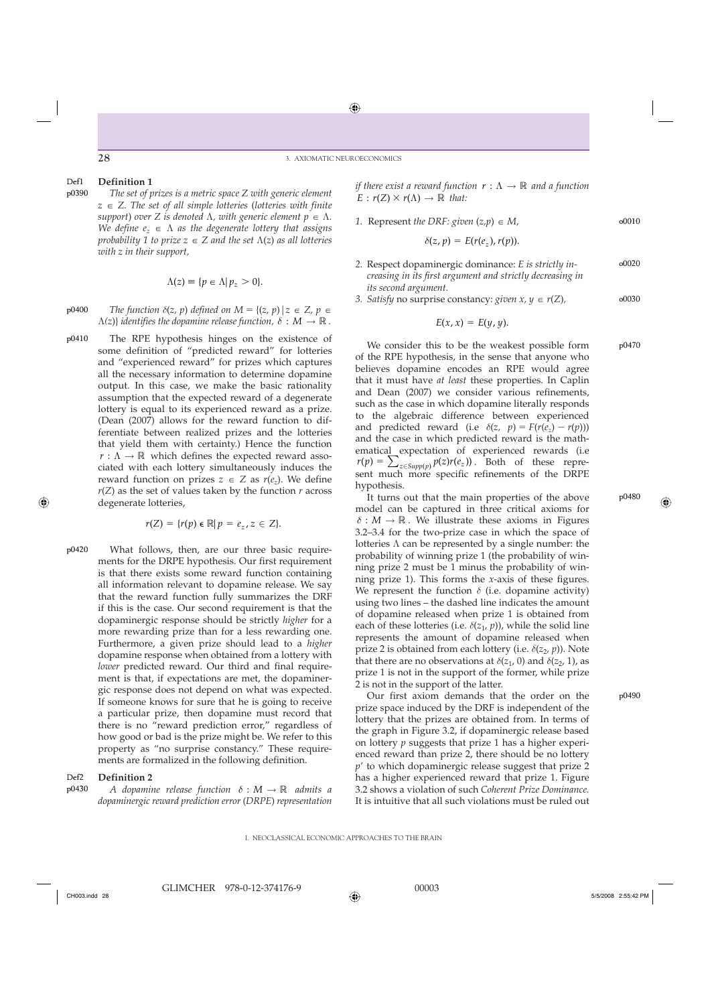$\bigoplus$ 

 **Definition 1**  Def1 p0390

 *The set of prizes is a metric space Z with generic element*   $z \in Z$ . The set of all simple lotteries (lotteries with finite *support*) *over Z is denoted*  $\Lambda$ *, with generic element*  $p \in \Lambda$ *. We define*  $e_z \in \Lambda$  *as the degenerate lottery that assigns probability* 1 *to prize*  $z \in Z$  *and the set*  $\Lambda(z)$  *as all lotteries with z in their support,* 

$$
\Lambda(z) \equiv \{ p \in \Lambda | p_z > 0 \}.
$$

- *The function*  $\delta(z, p)$  *defined on*  $M = \{(z, p) | z \in Z, p \in Z\}$  $\Lambda(z)$  *identifies the dopamine release function,*  $\delta : M \to \mathbb{R}$ . p0400
- The RPE hypothesis hinges on the existence of some definition of "predicted reward" for lotteries and "experienced reward" for prizes which captures all the necessary information to determine dopamine output. In this case, we make the basic rationality assumption that the expected reward of a degenerate lottery is equal to its experienced reward as a prize. (Dean (2007) allows for the reward function to differentiate between realized prizes and the lotteries that yield them with certainty.) Hence the function  $r : \Lambda \to \mathbb{R}$  which defines the expected reward associated with each lottery simultaneously induces the reward function on prizes  $z \in Z$  as  $r(e_z)$ . We define  $r(Z)$  as the set of values taken by the function  $r$  across degenerate lotteries, p0410

$$
r(Z) = \{r(p) \in \mathbb{R} \mid p = e_z, z \in Z\}.
$$

 What follows, then, are our three basic requirements for the DRPE hypothesis. Our first requirement is that there exists some reward function containing all information relevant to dopamine release. We say that the reward function fully summarizes the DRF if this is the case. Our second requirement is that the dopaminergic response should be strictly *higher* for a more rewarding prize than for a less rewarding one. Furthermore, a given prize should lead to a *higher* dopamine response when obtained from a lottery with *lower* predicted reward. Our third and final requirement is that, if expectations are met, the dopaminergic response does not depend on what was expected. If someone knows for sure that he is going to receive a particular prize, then dopamine must record that there is no "reward prediction error," regardless of how good or bad is the prize might be. We refer to this property as "no surprise constancy." These requirements are formalized in the following definition. p0420

#### **Definition 2**  Def2

*A* dopamine release function  $\delta : M \to \mathbb{R}$  admits a *dopaminergic reward prediction error* (*DRPE*) *representation*  p0430

*if there exist a reward function*  $r : \Lambda \to \mathbb{R}$  *and a function*  $E: r(Z) \times r(\Lambda) \rightarrow \mathbb{R}$  that:

*1.* Represent the DRF: given  $(z, p) \in M$ , o0010

$$
\delta(z,p)=E(r(e_z),r(p)).
$$

- *2.* Respect dopaminergic dominance: *E is strictly increasing in its first argument and strictly decreasing in its second argument .*  o0020
- *3. Satisfy* no surprise constancy: *given*  $x, y \in r(Z)$ *,*

$$
E(x, x) = E(y, y).
$$

 We consider this to be the weakest possible form of the RPE hypothesis, in the sense that anyone who believes dopamine encodes an RPE would agree that it must have *at least* these properties. In Caplin and Dean (2007) we consider various refinements, such as the case in which dopamine literally responds to the algebraic difference between experienced and predicted reward (i.e  $\delta(z, p) = F(r(e_z) - r(p)))$ and the case in which predicted reward is the mathematical expectation of experienced rewards (i.e  $r(p) = \sum_{z \in Supp(p)} p(z)r(e_z)$ . Both of these represent much more specific refinements of the DRPE hypothesis.

 It turns out that the main properties of the above model can be captured in three critical axioms for  $\delta$  :  $M \rightarrow \mathbb{R}$ . We illustrate these axioms in Figures 3.2–3.4 for the two-prize case in which the space of lotteries  $\Lambda$  can be represented by a single number: the probability of winning prize 1 (the probability of winning prize 2 must be 1 minus the probability of winning prize 1). This forms the *x* -axis of these figures. We represent the function  $\delta$  (i.e. dopamine activity) using two lines – the dashed line indicates the amount of dopamine released when prize 1 is obtained from each of these lotteries (i.e.  $\delta(z_1, p)$ ), while the solid line represents the amount of dopamine released when prize 2 is obtained from each lottery (i.e.  $\delta(z_2, p)$ ). Note that there are no observations at  $\delta(z_1, 0)$  and  $\delta(z_2, 1)$ , as prize 1 is not in the support of the former, while prize 2 is not in the support of the latter.

 Our first axiom demands that the order on the prize space induced by the DRF is independent of the lottery that the prizes are obtained from. In terms of the graph in Figure 3.2 , if dopaminergic release based on lottery *p* suggests that prize 1 has a higher experienced reward than prize 2, there should be no lottery *p* to which dopaminergic release suggest that prize 2 has a higher experienced reward that prize 1. Figure 3.2 shows a violation of such *Coherent Prize Dominance.* It is intuitive that all such violations must be ruled out

I. NEOCLASSICAL ECONOMIC APPROACHES TO THE BRAIN

GLIMCHER 978-0-12-374176-9 00003

o0030

p0470

p0480

⊕

p0490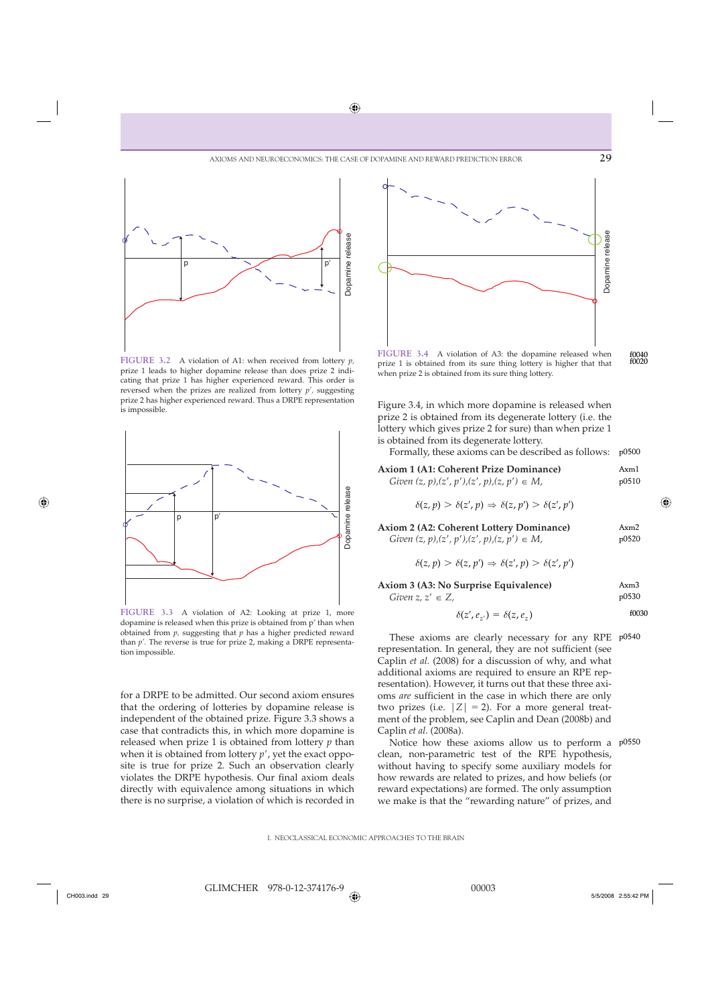

**FIGURE 3.2** A violation of A1: when received from lottery *p,* prize 1 leads to higher dopamine release than does prize 2 indicating that prize 1 has higher experienced reward. This order is reversed when the prizes are realized from lottery  $p'$ , suggesting prize 2 has higher experienced reward. Thus a DRPE representation is impossible.



**FIGURE 3.3** A violation of A2: Looking at prize 1, more dopamine is released when this prize is obtained from p' than when obtained from *p,* suggesting that *p* has a higher predicted reward than  $p'$ . The reverse is true for prize 2, making a DRPE representation impossible.

for a DRPE to be admitted. Our second axiom ensures that the ordering of lotteries by dopamine release is independent of the obtained prize. Figure 3.3 shows a case that contradicts this, in which more dopamine is released when prize 1 is obtained from lottery *p* than when it is obtained from lottery  $p'$ , yet the exact opposite is true for prize 2. Such an observation clearly violates the DRPE hypothesis. Our final axiom deals directly with equivalence among situations in which there is no surprise, a violation of which is recorded in



prize 1 is obtained from its sure thing lottery is higher that that when prize 2 is obtained from its sure thing lottery.

 Figure 3.4 , in which more dopamine is released when prize 2 is obtained from its degenerate lottery (i.e. the lottery which gives prize 2 for sure) than when prize 1 is obtained from its degenerate lottery.

Formally, these axioms can be described as follows: p0500

| <b>Axiom 1 (A1: Coherent Prize Dominance)</b>      | Axml             |
|----------------------------------------------------|------------------|
| Given $(z, p), (z', p'), (z', p), (z, p') \in M$ , | <sub>p0510</sub> |
|                                                    |                  |

| <b>Axiom 2 (A2: Coherent Lottery Dominance)</b>    | A <sub>xm</sub> 2 |
|----------------------------------------------------|-------------------|
| Given $(z, p), (z', p'), (z', p), (z, p') \in M$ , | p0520             |
|                                                    |                   |

$$
\delta(z, p) > \delta(z, p') \Rightarrow \delta(z', p) > \delta(z', p')
$$

 $\delta(z, p) > \delta(z', p) \Rightarrow \delta(z, p') > \delta(z', p')$ 

| Axiom 3 (A3: No Surprise Equivalence)   | Axm <sub>3</sub> |  |
|-----------------------------------------|------------------|--|
| Given $z, z' \in Z$ ,                   | p0530            |  |
| $\delta(z', e_{z'}) = \delta(z, e_{z})$ | f0030            |  |

 These axioms are clearly necessary for any RPE p0540 representation. In general, they are not sufficient (see Caplin *et al.* (2008) for a discussion of why, and what additional axioms are required to ensure an RPE representation). However, it turns out that these three axioms *are* sufficient in the case in which there are only two prizes (i.e.  $|Z| = 2$ ). For a more general treatment of the problem, see Caplin and Dean (2008b) and Caplin *et al.* (2008a).

 Notice how these axioms allow us to perform a p0550 clean, non-parametric test of the RPE hypothesis, without having to specify some auxiliary models for how rewards are related to prizes, and how beliefs (or reward expectations) are formed. The only assumption we make is that the "rewarding nature" of prizes, and

I. NEOCLASSICAL ECONOMIC APPROACHES TO THE BRAIN

GLIMCHER 978-0-12-374176-9 <sup>00003</sup>

**29**

f0040<br>f0020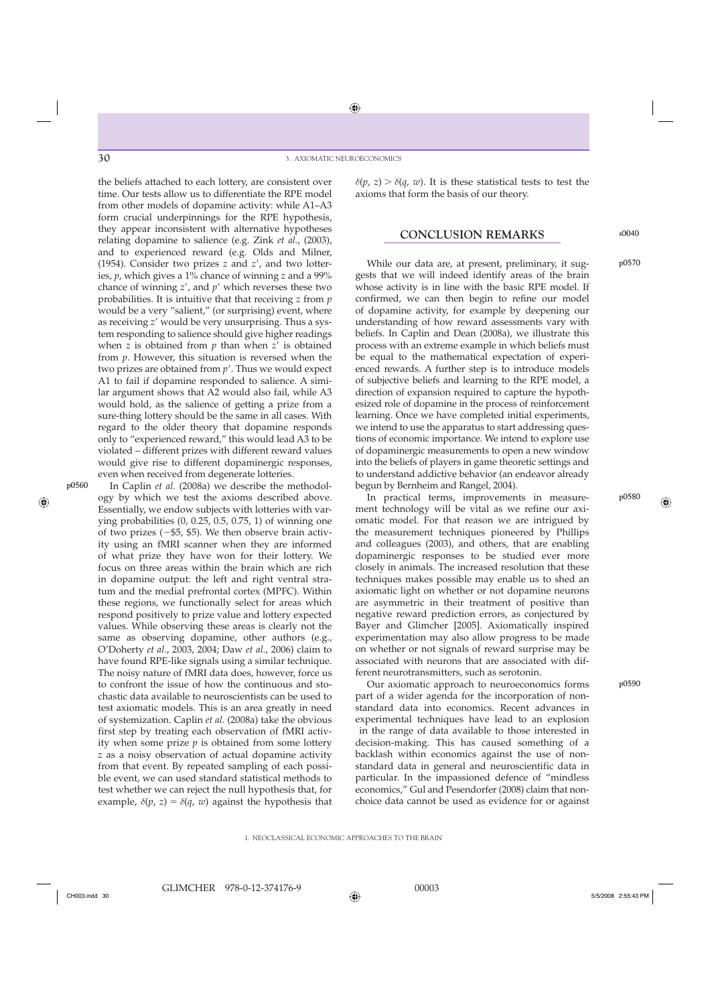the beliefs attached to each lottery, are consistent over time. Our tests allow us to differentiate the RPE model from other models of dopamine activity: while A1–A3 form crucial underpinnings for the RPE hypothesis, they appear inconsistent with alternative hypotheses relating dopamine to salience (e.g. Zink et al., (2003), and to experienced reward (e.g. Olds and Milner, (1954) . Consider two prizes *z* and *z* , and two lotteries, *p*, which gives a 1% chance of winning *z* and a 99% chance of winning *z'*, and *p'* which reverses these two probabilities. It is intuitive that that receiving *z* from *p* would be a very "salient," (or surprising) event, where as receiving  $z'$  would be very unsurprising. Thus a system responding to salience should give higher readings when  $z$  is obtained from  $p$  than when  $z'$  is obtained from *p*. However, this situation is reversed when the two prizes are obtained from  $p'$ . Thus we would expect A1 to fail if dopamine responded to salience. A similar argument shows that A2 would also fail, while A3 would hold, as the salience of getting a prize from a sure-thing lottery should be the same in all cases. With regard to the older theory that dopamine responds only to "experienced reward," this would lead A3 to be violated – different prizes with different reward values would give rise to different dopaminergic responses, even when received from degenerate lotteries.

p0560

⊕

 In Caplin *et al.* (2008a) we describe the methodology by which we test the axioms described above. Essentially, we endow subjects with lotteries with varying probabilities (0, 0.25, 0.5, 0.75, 1) of winning one of two prizes  $(-\$5, \$5)$ . We then observe brain activity using an fMRI scanner when they are informed of what prize they have won for their lottery. We focus on three areas within the brain which are rich in dopamine output: the left and right ventral stratum and the medial prefrontal cortex (MPFC). Within these regions, we functionally select for areas which respond positively to prize value and lottery expected values. While observing these areas is clearly not the same as observing dopamine, other authors (e.g., O'Doherty *et al.*, 2003, 2004; Daw *et al.*, 2006) claim to have found RPE-like signals using a similar technique. The noisy nature of fMRI data does, however, force us to confront the issue of how the continuous and stochastic data available to neuroscientists can be used to test axiomatic models. This is an area greatly in need of systemization. Caplin *et al.* (2008a) take the obvious first step by treating each observation of fMRI activity when some prize *p* is obtained from some lottery *z* as a noisy observation of actual dopamine activity from that event. By repeated sampling of each possible event, we can used standard statistical methods to test whether we can reject the null hypothesis that, for example,  $\delta(p, z) = \delta(q, w)$  against the hypothesis that

 $\delta(p, z) > \delta(q, w)$ . It is these statistical tests to test the axioms that form the basis of our theory.

## **CONCLUSION REMARKS**

s0040

p0570

p0580

⊕

p0590

 While our data are, at present, preliminary, it suggests that we will indeed identify areas of the brain whose activity is in line with the basic RPE model. If confirmed, we can then begin to refine our model of dopamine activity, for example by deepening our understanding of how reward assessments vary with beliefs. In Caplin and Dean (2008a), we illustrate this process with an extreme example in which beliefs must be equal to the mathematical expectation of experienced rewards. A further step is to introduce models of subjective beliefs and learning to the RPE model, a direction of expansion required to capture the hypothesized role of dopamine in the process of reinforcement learning. Once we have completed initial experiments, we intend to use the apparatus to start addressing questions of economic importance. We intend to explore use of dopaminergic measurements to open a new window into the beliefs of players in game theoretic settings and to understand addictive behavior (an endeavor already begun by Bernheim and Rangel, 2004).

 In practical terms, improvements in measurement technology will be vital as we refine our axiomatic model. For that reason we are intrigued by the measurement techniques pioneered by Phillips and colleagues (2003), and others, that are enabling dopaminergic responses to be studied ever more closely in animals. The increased resolution that these techniques makes possible may enable us to shed an axiomatic light on whether or not dopamine neurons are asymmetric in their treatment of positive than negative reward prediction errors, as conjectured by Bayer and Glimcher [2005]. Axiomatically inspired experimentation may also allow progress to be made on whether or not signals of reward surprise may be associated with neurons that are associated with different neurotransmitters, such as serotonin.

 Our axiomatic approach to neuroeconomics forms part of a wider agenda for the incorporation of nonstandard data into economics. Recent advances in experimental techniques have lead to an explosion in the range of data available to those interested in decision-making. This has caused something of a backlash within economics against the use of nonstandard data in general and neuroscientific data in particular. In the impassioned defence of "mindless economics," Gul and Pesendorfer (2008) claim that nonchoice data cannot be used as evidence for or against

I. NEOCLASSICAL ECONOMIC APPROACHES TO THE BRAIN

GLIMCHER 978-0-12-374176-9 00003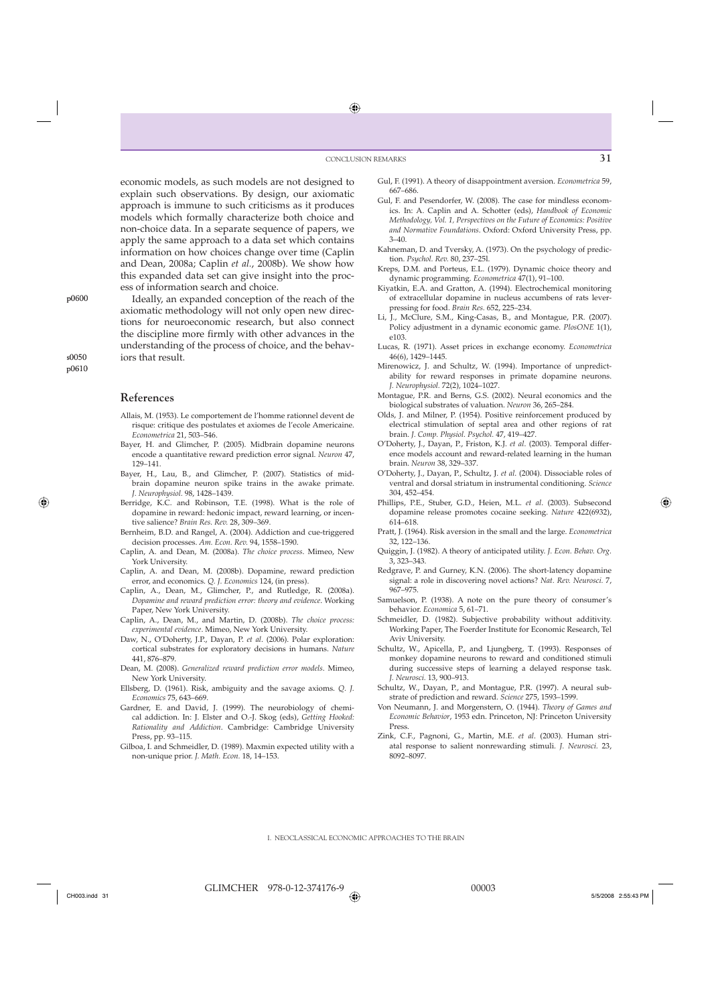#### CONCLUSION REMARKS

economic models, as such models are not designed to explain such observations. By design, our axiomatic approach is immune to such criticisms as it produces models which formally characterize both choice and non-choice data. In a separate sequence of papers, we

apply the same approach to a data set which contains information on how choices change over time (Caplin and Dean, 2008a; Caplin et al., 2008b). We show how this expanded data set can give insight into the process of information search and choice.

p0600

 Ideally, an expanded conception of the reach of the axiomatic methodology will not only open new directions for neuroeconomic research, but also connect the discipline more firmly with other advances in the understanding of the process of choice, and the behaviors that result.

## **References**

- Allais, M. (1953). Le comportement de l'homme rationnel devent de risque: critique des postulates et axiomes de l'ecole Americaine . Econometrica 21, 503-546.
- Bayer, H. and Glimcher, P. (2005). Midbrain dopamine neurons encode a quantitative reward prediction error signal . *Neuron* 47 ,  $129 - 141$ .
- Bayer, H., Lau, B., and Glimcher, P. (2007). Statistics of midbrain dopamine neuron spike trains in the awake primate. *J. Neurophysiol.* 98, 1428-1439.
- Berridge, K.C. and Robinson, T.E. (1998). What is the role of dopamine in reward: hedonic impact, reward learning, or incentive salience? *Brain Res. Rev.* 28, 309-369.
- Bernheim, B.D. and Rangel, A. (2004). Addiction and cue-triggered decision processes. Am. Econ. Rev. 94, 1558-1590.
- Caplin, A. and Dean, M. (2008a). *The choice process*. Mimeo, New York University.
- Caplin, A. and Dean, M. (2008b). Dopamine, reward prediction error, and economics . *Q. J. Economics* 124 , (in press).
- Caplin, A., Dean, M., Glimcher, P., and Rutledge, R. (2008a). *Dopamine and reward prediction error: theory and evidence* . Working Paper, New York University.
- Caplin, A., Dean, M., and Martin, D. (2008b). *The choice process:* experimental evidence. Mimeo, New York University.
- Daw, N., O'Doherty, J.P., Dayan, P. et al. (2006). Polar exploration: cortical substrates for exploratory decisions in humans . *Nature* 441, 876-879.
- Dean, M. (2008). *Generalized reward prediction error models*. Mimeo, New York University .
- Ellsberg, D. (1961). Risk, ambiguity and the savage axioms. Q. J. *Economics* 75 , 643 – 669 .
- Gardner, E. and David, J. (1999). The neurobiology of chemical addiction. In: J. Elster and O.-J. Skog (eds), *Getting Hooked: Rationality and Addiction* . Cambridge : Cambridge University Press, pp. 93-115.
- Gilboa, I. and Schmeidler, D. (1989). Maxmin expected utility with a non-unique prior. *J. Math. Econ.* 18, 14-153.
- Gul, F. (1991). A theory of disappointment aversion. *Econometrica* 59, 667-686
- Gul, F. and Pesendorfer, W. (2008). The case for mindless economics. In: A. Caplin and A. Schotter (eds), *Handbook of Economic Methodology, Vol. 1, Perspectives on the Future of Economics: Positive*  and Normative Foundations. Oxford: Oxford University Press, pp.  $3 - 40.$
- Kahneman, D. and Tversky, A. (1973). On the psychology of prediction . *Psychol. Rev.* 80 , 237 – 25l .
- Kreps, D.M. and Porteus, E.L. (1979). Dynamic choice theory and dynamic programming. *Econometrica* 47(1), 91-100.
- Kiyatkin, E.A. and Gratton, A. (1994). Electrochemical monitoring of extracellular dopamine in nucleus accumbens of rats leverpressing for food. Brain Res. 652, 225-234.
- Li, J., McClure, S.M., King-Casas, B., and Montague, P.R. (2007). Policy adjustment in a dynamic economic game. *PlosONE* 1(1), e103.
- Lucas, R. (1971). Asset prices in exchange economy. *Econometrica* 46(6), 1429-1445.
- Mirenowicz, J. and Schultz, W. (1994). Importance of unpredictability for reward responses in primate dopamine neurons. *J. Neurophysiol.* 72(2), 1024-1027.
- Montague, P.R. and Berns, G.S. (2002). Neural economics and the biological substrates of valuation. *Neuron* 36, 265-284.
- Olds, J. and Milner, P. (1954). Positive reinforcement produced by electrical stimulation of septal area and other regions of rat brain. *J. Comp. Physiol. Psychol.* 47, 419-427.
- O'Doherty, J., Dayan, P., Friston, K.J. et al. (2003). Temporal difference models account and reward-related learning in the human brain. *Neuron* 38, 329-337.
- O'Doherty, J., Dayan, P., Schultz, J. *et al.* (2004). Dissociable roles of ventral and dorsal striatum in instrumental conditioning . *Science* 304 , 452 – 454 .
- Phillips, P.E., Stuber, G.D., Heien, M.L. et al. (2003). Subsecond dopamine release promotes cocaine seeking. *Nature* 422(6932), 614 – 618.
- Pratt, J. (1964). Risk aversion in the small and the large. *Econometrica* 32, 122-136
- Quiggin, J. (1982). A theory of anticipated utility. J. Econ. Behav. Org. 3 , 323 – 343 .
- Redgrave, P. and Gurney, K.N. (2006). The short-latency dopamine signal: a role in discovering novel actions? *Nat. Rev. Neurosci.* 7, 967-975.
- Samuelson, P. (1938). A note on the pure theory of consumer's behavior. *Economica* 5, 61-71.
- Schmeidler, D. (1982). Subjective probability without additivity. Working Paper, The Foerder Institute for Economic Research, Tel Aviv University.
- Schultz, W., Apicella, P., and Ljungberg, T. (1993). Responses of monkey dopamine neurons to reward and conditioned stimuli during successive steps of learning a delayed response task . *J. Neurosci.* 13 , 900 – 913 .
- Schultz, W., Dayan, P., and Montague, P.R. (1997). A neural substrate of prediction and reward. *Science* 275, 1593-1599.
- Von Neumann, J. and Morgenstern, O. (1944). *Theory of Games and Economic Behavior,* 1953 edn. Princeton, NJ: Princeton University Press .
- Zink, C.F., Pagnoni, G., Martin, M.E. et al. (2003). Human striatal response to salient nonrewarding stimuli. *J. Neurosci.* 23, 8092-8097

I. NEOCLASSICAL ECONOMIC APPROACHES TO THE BRAIN

GLIMCHER 978-0-12-374176-9 ( $\bigoplus$ 

⊕

### **31**

s0050 p0610